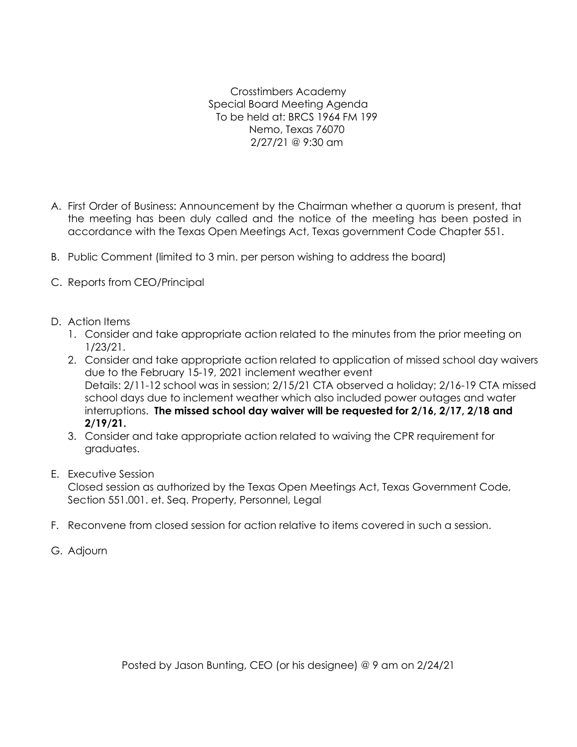Crosstimbers Academy Special Board Meeting Agenda To be held at: BRCS 1964 FM 199 Nemo, Texas 76070 2/27/21 @ 9:30 am

- A. First Order of Business: Announcement by the Chairman whether a quorum is present, that the meeting has been duly called and the notice of the meeting has been posted in accordance with the Texas Open Meetings Act, Texas government Code Chapter 551.
- B. Public Comment (limited to 3 min. per person wishing to address the board)
- C. Reports from CEO/Principal
- D. Action Items
	- 1. Consider and take appropriate action related to the minutes from the prior meeting on 1/23/21.
	- 2. Consider and take appropriate action related to application of missed school day waivers due to the February 15-19, 2021 inclement weather event Details: 2/11-12 school was in session; 2/15/21 CTA observed a holiday; 2/16-19 CTA missed school days due to inclement weather which also included power outages and water interruptions. **The missed school day waiver will be requested for 2/16, 2/17, 2/18 and 2/19/21.**
	- 3. Consider and take appropriate action related to waiving the CPR requirement for graduates.
- E. Executive Session

Closed session as authorized by the Texas Open Meetings Act, Texas Government Code, Section 551.001. et. Seq. Property, Personnel, Legal

- F. Reconvene from closed session for action relative to items covered in such a session.
- G. Adjourn